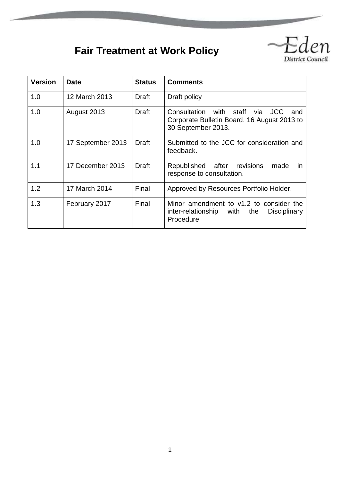# **Fair Treatment at Work Policy**



| <b>Version</b> | Date              | <b>Status</b> | <b>Comments</b>                                                                                                             |
|----------------|-------------------|---------------|-----------------------------------------------------------------------------------------------------------------------------|
| 1.0            | 12 March 2013     | Draft         | Draft policy                                                                                                                |
| 1.0            | August 2013       | Draft         | with staff<br><b>JCC</b><br>Consultation<br>via<br>and<br>Corporate Bulletin Board. 16 August 2013 to<br>30 September 2013. |
| 1.0            | 17 September 2013 | <b>Draft</b>  | Submitted to the JCC for consideration and<br>feedback.                                                                     |
| 1.1            | 17 December 2013  | <b>Draft</b>  | Republished<br>after<br>revisions<br>made<br>in.<br>response to consultation.                                               |
| 1.2            | 17 March 2014     | Final         | Approved by Resources Portfolio Holder.                                                                                     |
| 1.3            | February 2017     | Final         | Minor amendment to v1.2 to consider the<br>with<br>the<br>inter-relationship<br>Disciplinary<br>Procedure                   |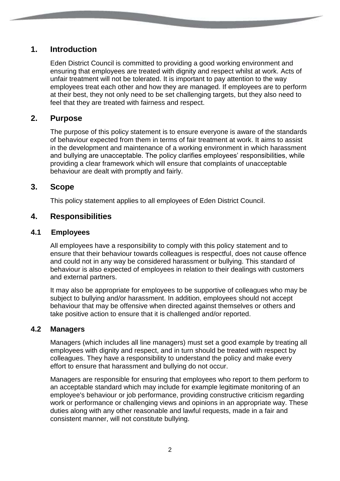# **1. Introduction**

Eden District Council is committed to providing a good working environment and ensuring that employees are treated with dignity and respect whilst at work. Acts of unfair treatment will not be tolerated. It is important to pay attention to the way employees treat each other and how they are managed. If employees are to perform at their best, they not only need to be set challenging targets, but they also need to feel that they are treated with fairness and respect.

## **2. Purpose**

The purpose of this policy statement is to ensure everyone is aware of the standards of behaviour expected from them in terms of fair treatment at work. It aims to assist in the development and maintenance of a working environment in which harassment and bullying are unacceptable. The policy clarifies employees' responsibilities, while providing a clear framework which will ensure that complaints of unacceptable behaviour are dealt with promptly and fairly.

## **3. Scope**

This policy statement applies to all employees of Eden District Council.

## **4. Responsibilities**

## **4.1 Employees**

All employees have a responsibility to comply with this policy statement and to ensure that their behaviour towards colleagues is respectful, does not cause offence and could not in any way be considered harassment or bullying. This standard of behaviour is also expected of employees in relation to their dealings with customers and external partners.

It may also be appropriate for employees to be supportive of colleagues who may be subject to bullying and/or harassment. In addition, employees should not accept behaviour that may be offensive when directed against themselves or others and take positive action to ensure that it is challenged and/or reported.

## **4.2 Managers**

Managers (which includes all line managers) must set a good example by treating all employees with dignity and respect, and in turn should be treated with respect by colleagues. They have a responsibility to understand the policy and make every effort to ensure that harassment and bullying do not occur.

Managers are responsible for ensuring that employees who report to them perform to an acceptable standard which may include for example legitimate monitoring of an employee's behaviour or job performance, providing constructive criticism regarding work or performance or challenging views and opinions in an appropriate way. These duties along with any other reasonable and lawful requests, made in a fair and consistent manner, will not constitute bullying.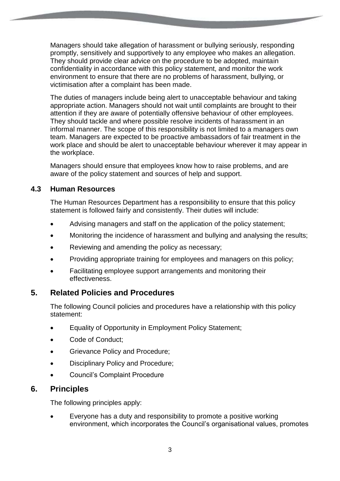Managers should take allegation of harassment or bullying seriously, responding promptly, sensitively and supportively to any employee who makes an allegation. They should provide clear advice on the procedure to be adopted, maintain confidentiality in accordance with this policy statement, and monitor the work environment to ensure that there are no problems of harassment, bullying, or victimisation after a complaint has been made.

The duties of managers include being alert to unacceptable behaviour and taking appropriate action. Managers should not wait until complaints are brought to their attention if they are aware of potentially offensive behaviour of other employees. They should tackle and where possible resolve incidents of harassment in an informal manner. The scope of this responsibility is not limited to a managers own team. Managers are expected to be proactive ambassadors of fair treatment in the work place and should be alert to unacceptable behaviour wherever it may appear in the workplace.

Managers should ensure that employees know how to raise problems, and are aware of the policy statement and sources of help and support.

## **4.3 Human Resources**

The Human Resources Department has a responsibility to ensure that this policy statement is followed fairly and consistently. Their duties will include:

- Advising managers and staff on the application of the policy statement;
- Monitoring the incidence of harassment and bullying and analysing the results;
- Reviewing and amending the policy as necessary;
- Providing appropriate training for employees and managers on this policy;
- Facilitating employee support arrangements and monitoring their effectiveness.

# **5. Related Policies and Procedures**

The following Council policies and procedures have a relationship with this policy statement:

- Equality of Opportunity in Employment Policy Statement;
- Code of Conduct;
- Grievance Policy and Procedure;
- Disciplinary Policy and Procedure;
- Council's Complaint Procedure

# **6. Principles**

The following principles apply:

 Everyone has a duty and responsibility to promote a positive working environment, which incorporates the Council's organisational values, promotes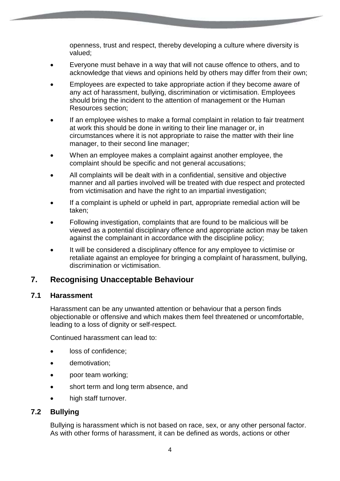openness, trust and respect, thereby developing a culture where diversity is valued;

- Everyone must behave in a way that will not cause offence to others, and to acknowledge that views and opinions held by others may differ from their own;
- Employees are expected to take appropriate action if they become aware of any act of harassment, bullying, discrimination or victimisation. Employees should bring the incident to the attention of management or the Human Resources section;
- If an employee wishes to make a formal complaint in relation to fair treatment at work this should be done in writing to their line manager or, in circumstances where it is not appropriate to raise the matter with their line manager, to their second line manager;
- When an employee makes a complaint against another employee, the complaint should be specific and not general accusations;
- All complaints will be dealt with in a confidential, sensitive and objective manner and all parties involved will be treated with due respect and protected from victimisation and have the right to an impartial investigation;
- If a complaint is upheld or upheld in part, appropriate remedial action will be taken;
- Following investigation, complaints that are found to be malicious will be viewed as a potential disciplinary offence and appropriate action may be taken against the complainant in accordance with the discipline policy;
- It will be considered a disciplinary offence for any employee to victimise or retaliate against an employee for bringing a complaint of harassment, bullying, discrimination or victimisation.

# **7. Recognising Unacceptable Behaviour**

## **7.1 Harassment**

Harassment can be any unwanted attention or behaviour that a person finds objectionable or offensive and which makes them feel threatened or uncomfortable, leading to a loss of dignity or self-respect.

Continued harassment can lead to:

- loss of confidence;
- **•** demotivation;
- poor team working;
- short term and long term absence, and
- high staff turnover.

## **7.2 Bullying**

Bullying is harassment which is not based on race, sex, or any other personal factor. As with other forms of harassment, it can be defined as words, actions or other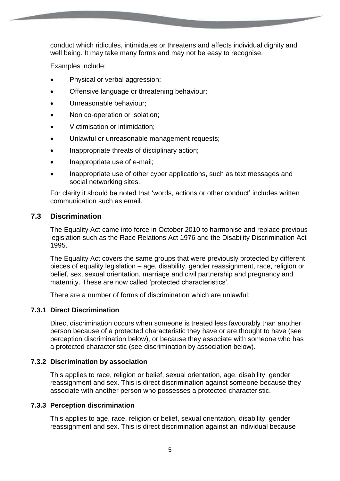conduct which ridicules, intimidates or threatens and affects individual dignity and well being. It may take many forms and may not be easy to recognise.

Examples include:

- Physical or verbal aggression:
- Offensive language or threatening behaviour;
- Unreasonable behaviour;
- Non co-operation or isolation;
- Victimisation or intimidation;
- Unlawful or unreasonable management requests;
- Inappropriate threats of disciplinary action;
- Inappropriate use of e-mail;
- Inappropriate use of other cyber applications, such as text messages and social networking sites.

For clarity it should be noted that 'words, actions or other conduct' includes written communication such as email.

## **7.3 Discrimination**

The Equality Act came into force in October 2010 to harmonise and replace previous legislation such as the Race Relations Act 1976 and the Disability Discrimination Act 1995.

The Equality Act covers the same groups that were previously protected by different pieces of equality legislation – age, disability, gender reassignment, race, religion or belief, sex, sexual orientation, marriage and civil partnership and pregnancy and maternity. These are now called 'protected characteristics'.

There are a number of forms of discrimination which are unlawful:

### **7.3.1 Direct Discrimination**

Direct discrimination occurs when someone is treated less favourably than another person because of a protected characteristic they have or are thought to have (see perception discrimination below), or because they associate with someone who has a protected characteristic (see discrimination by association below).

### **7.3.2 Discrimination by association**

This applies to race, religion or belief, sexual orientation, age, disability, gender reassignment and sex. This is direct discrimination against someone because they associate with another person who possesses a protected characteristic.

### **7.3.3 Perception discrimination**

This applies to age, race, religion or belief, sexual orientation, disability, gender reassignment and sex. This is direct discrimination against an individual because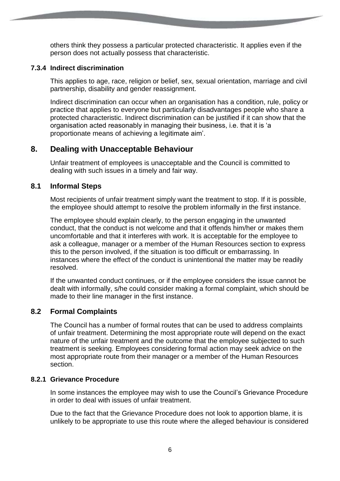others think they possess a particular protected characteristic. It applies even if the person does not actually possess that characteristic.

#### **7.3.4 Indirect discrimination**

This applies to age, race, religion or belief, sex, sexual orientation, marriage and civil partnership, disability and gender reassignment.

Indirect discrimination can occur when an organisation has a condition, rule, policy or practice that applies to everyone but particularly disadvantages people who share a protected characteristic. Indirect discrimination can be justified if it can show that the organisation acted reasonably in managing their business, i.e. that it is 'a proportionate means of achieving a legitimate aim'.

# **8. Dealing with Unacceptable Behaviour**

Unfair treatment of employees is unacceptable and the Council is committed to dealing with such issues in a timely and fair way.

## **8.1 Informal Steps**

Most recipients of unfair treatment simply want the treatment to stop. If it is possible, the employee should attempt to resolve the problem informally in the first instance.

The employee should explain clearly, to the person engaging in the unwanted conduct, that the conduct is not welcome and that it offends him/her or makes them uncomfortable and that it interferes with work. It is acceptable for the employee to ask a colleague, manager or a member of the Human Resources section to express this to the person involved, if the situation is too difficult or embarrassing. In instances where the effect of the conduct is unintentional the matter may be readily resolved.

If the unwanted conduct continues, or if the employee considers the issue cannot be dealt with informally, s/he could consider making a formal complaint, which should be made to their line manager in the first instance.

### **8.2 Formal Complaints**

The Council has a number of formal routes that can be used to address complaints of unfair treatment. Determining the most appropriate route will depend on the exact nature of the unfair treatment and the outcome that the employee subjected to such treatment is seeking. Employees considering formal action may seek advice on the most appropriate route from their manager or a member of the Human Resources section.

### **8.2.1 Grievance Procedure**

In some instances the employee may wish to use the Council's Grievance Procedure in order to deal with issues of unfair treatment.

Due to the fact that the Grievance Procedure does not look to apportion blame, it is unlikely to be appropriate to use this route where the alleged behaviour is considered